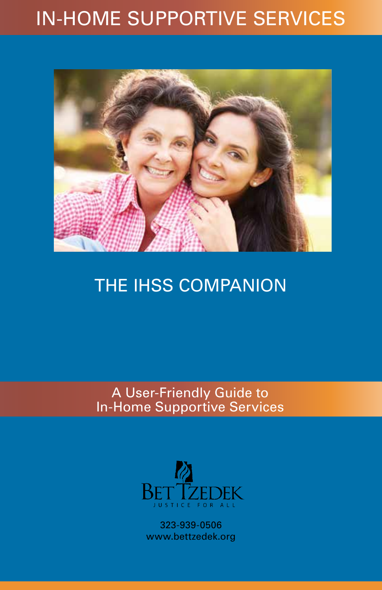# IN-HOME SUPPORTIVE SERVICES



# THE IHSS COMPANION

A User-Friendly Guide to In-Home Supportive Services



323-939-0506 www.bettzedek.org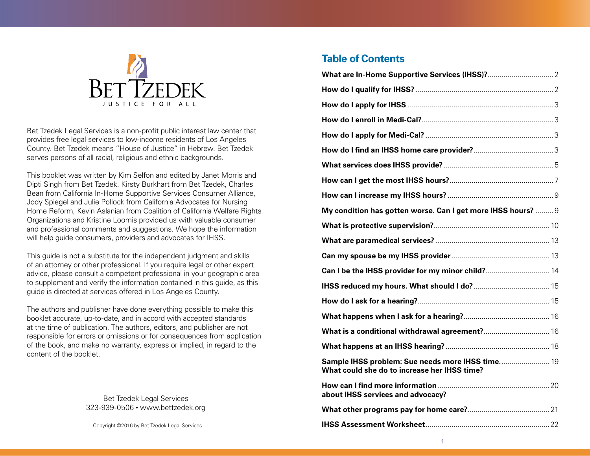

Bet Tzedek Legal Services is a non-profit public interest law center that provides free legal services to low-income residents of Los Angeles County. Bet Tzedek means "House of Justice" in Hebrew. Bet Tzedek serves persons of all racial, religious and ethnic backgrounds.

This booklet was written by Kim Selfon and edited by Janet Morris and Dipti Singh from Bet Tzedek. Kirsty Burkhart from Bet Tzedek, Charles Bean from California In-Home Supportive Services Consumer Alliance, Jody Spiegel and Julie Pollock from California Advocates for Nursing Home Reform, Kevin Aslanian from Coalition of California Welfare Rights Organizations and Kristine Loomis provided us with valuable consumer and professional comments and suggestions. We hope the information will help guide consumers, providers and advocates for IHSS.

This guide is not a substitute for the independent judgment and skills of an attorney or other professional. If you require legal or other expert advice, please consult a competent professional in your geographic area to supplement and verify the information contained in this guide, as this guide is directed at services offered in Los Angeles County.

The authors and publisher have done everything possible to make this booklet accurate, up-to-date, and in accord with accepted standards at the time of publication. The authors, editors, and publisher are not responsible for errors or omissions or for consequences from application of the book, and make no warranty, express or implied, in regard to the content of the booklet.

> Bet Tzedek Legal Services 323-939-0506 • www.bettzedek.org

Copyright ©2016 by Bet Tzedek Legal Services

# **Table of Contents**

| My condition has gotten worse. Can I get more IHSS hours?  9                                     |  |
|--------------------------------------------------------------------------------------------------|--|
|                                                                                                  |  |
|                                                                                                  |  |
|                                                                                                  |  |
| Can I be the IHSS provider for my minor child? 14                                                |  |
|                                                                                                  |  |
|                                                                                                  |  |
|                                                                                                  |  |
| What is a conditional withdrawal agreement? 16                                                   |  |
|                                                                                                  |  |
| Sample IHSS problem: Sue needs more IHSS time 19<br>What could she do to increase her IHSS time? |  |
| about IHSS services and advocacy?                                                                |  |
|                                                                                                  |  |
|                                                                                                  |  |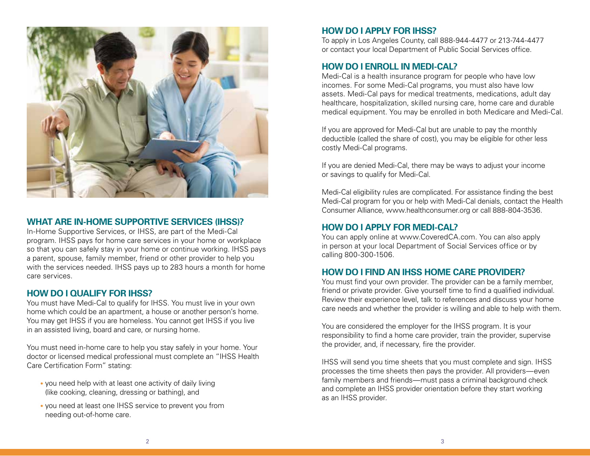

## **WHAT ARE IN-HOME SUPPORTIVE SERVICES (IHSS)?**

In-Home Supportive Services, or IHSS, are part of the Medi-Cal program. IHSS pays for home care services in your home or workplace so that you can safely stay in your home or continue working. IHSS pays a parent, spouse, family member, friend or other provider to help you with the services needed. IHSS pays up to 283 hours a month for home care services.

## **HOW DO I QUALIFY FOR IHSS?**

You must have Medi-Cal to qualify for IHSS. You must live in your own home which could be an apartment, a house or another person's home. You may get IHSS if you are homeless. You cannot get IHSS if you live in an assisted living, board and care, or nursing home.

You must need in-home care to help you stay safely in your home. Your doctor or licensed medical professional must complete an "IHSS Health Care Certification Form" stating:

- you need help with at least one activity of daily living (like cooking, cleaning, dressing or bathing), and
- you need at least one IHSS service to prevent you from needing out-of-home care.

## **HOW DO I APPLY FOR IHSS?**

To apply in Los Angeles County, call 888-944-4477 or 213-744-4477 or contact your local Department of Public Social Services office.

## **HOW DO I ENROLL IN MEDI-CAL?**

Medi-Cal is a health insurance program for people who have low incomes. For some Medi-Cal programs, you must also have low assets. Medi-Cal pays for medical treatments, medications, adult day healthcare, hospitalization, skilled nursing care, home care and durable medical equipment. You may be enrolled in both Medicare and Medi-Cal.

If you are approved for Medi-Cal but are unable to pay the monthly deductible (called the share of cost), you may be eligible for other less costly Medi-Cal programs.

If you are denied Medi-Cal, there may be ways to adjust your income or savings to qualify for Medi-Cal.

Medi-Cal eligibility rules are complicated. For assistance finding the best Medi-Cal program for you or help with Medi-Cal denials, contact the Health Consumer Alliance, www.healthconsumer.org or call 888-804-3536.

## **HOW DO I APPLY FOR MEDI-CAL?**

You can apply online at www.CoveredCA.com. You can also apply in person at your local Department of Social Services office or by calling 800-300-1506.

## **HOW DO I FIND AN IHSS HOME CARE PROVIDER?**

You must find your own provider. The provider can be a family member, friend or private provider. Give yourself time to find a qualified individual. Review their experience level, talk to references and discuss your home care needs and whether the provider is willing and able to help with them.

You are considered the employer for the IHSS program. It is your responsibility to find a home care provider, train the provider, supervise the provider, and, if necessary, fire the provider.

IHSS will send you time sheets that you must complete and sign. IHSS processes the time sheets then pays the provider. All providers—even family members and friends—must pass a criminal background check and complete an IHSS provider orientation before they start working as an IHSS provider.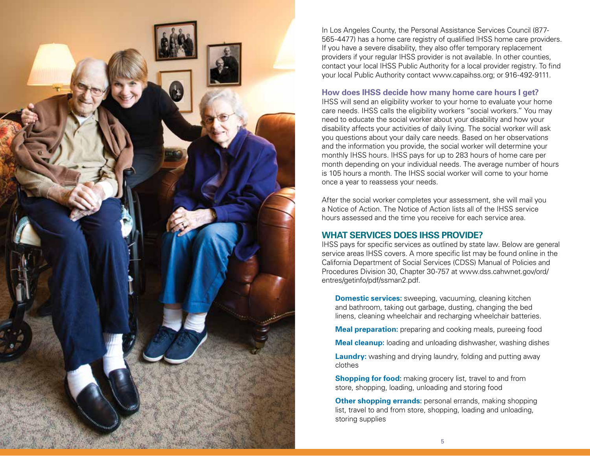

In Los Angeles County, the Personal Assistance Services Council (877- 565-4477) has a home care registry of qualified IHSS home care providers. If you have a severe disability, they also offer temporary replacement providers if your regular IHSS provider is not available. In other counties, contact your local IHSS Public Authority for a local provider registry. To find your local Public Authority contact www.capaihss.org; or 916-492-9111.

#### **How does IHSS decide how many home care hours I get?**

IHSS will send an eligibility worker to your home to evaluate your home care needs. IHSS calls the eligibility workers "social workers." You may need to educate the social worker about your disability and how your disability affects your activities of daily living. The social worker will ask you questions about your daily care needs. Based on her observations and the information you provide, the social worker will determine your monthly IHSS hours. IHSS pays for up to 283 hours of home care per month depending on your individual needs. The average number of hours is 105 hours a month. The IHSS social worker will come to your home once a year to reassess your needs.

After the social worker completes your assessment, she will mail you a Notice of Action. The Notice of Action lists all of the IHSS service hours assessed and the time you receive for each service area.

## **WHAT SERVICES DOES IHSS PROVIDE?**

IHSS pays for specific services as outlined by state law. Below are general service areas IHSS covers. A more specific list may be found online in the California Department of Social Services (CDSS) Manual of Policies and Procedures Division 30, Chapter 30-757 at www.dss.cahwnet.gov/ord/ entres/getinfo/pdf/ssman2.pdf.

**Domestic services:** sweeping, vacuuming, cleaning kitchen and bathroom, taking out garbage, dusting, changing the bed linens, cleaning wheelchair and recharging wheelchair batteries.

**Meal preparation:** preparing and cooking meals, pureeing food

**Meal cleanup:** loading and unloading dishwasher, washing dishes

**Laundry:** washing and drying laundry, folding and putting away clothes

**Shopping for food:** making grocery list, travel to and from store, shopping, loading, unloading and storing food

**Other shopping errands:** personal errands, making shopping list, travel to and from store, shopping, loading and unloading, storing supplies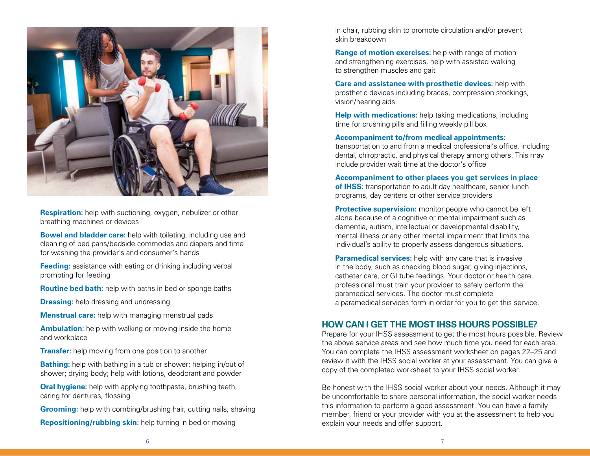

**Respiration:** help with suctioning, oxygen, nebulizer or other breathing machines or devices

**Bowel and bladder care:** help with toileting, including use and cleaning of bed pans/bedside commodes and diapers and time for washing the provider's and consumer's hands

**Feeding:** assistance with eating or drinking including verbal prompting for feeding

**Routine bed bath:** help with baths in bed or sponge baths

**Dressing:** help dressing and undressing

**Menstrual care:** help with managing menstrual pads

**Ambulation:** help with walking or moving inside the home and workplace

**Transfer:** help moving from one position to another

**Bathing:** help with bathing in a tub or shower; helping in/out of shower; drying body; help with lotions, deodorant and powder

**Oral hygiene:** help with applying toothpaste, brushing teeth, caring for dentures, flossing

**Grooming:** help with combing/brushing hair, cutting nails, shaving

**Repositioning/rubbing skin:** help turning in bed or moving

in chair, rubbing skin to promote circulation and/or prevent skin breakdown

**Range of motion exercises:** help with range of motion and strengthening exercises, help with assisted walking to strengthen muscles and gait

**Care and assistance with prosthetic devices:** help with prosthetic devices including braces, compression stockings, vision/hearing aids

**Help with medications:** help taking medications, including time for crushing pills and filling weekly pill box

#### **Accompaniment to/from medical appointments:**

transportation to and from a medical professional's office, including dental, chiropractic, and physical therapy among others. This may include provider wait time at the doctor's office

#### **Accompaniment to other places you get services in place**

**of IHSS:** transportation to adult day healthcare, senior lunch programs, day centers or other service providers

**Protective supervision:** monitor people who cannot be left alone because of a cognitive or mental impairment such as dementia, autism, intellectual or developmental disability, mental illness or any other mental impairment that limits the individual's ability to properly assess dangerous situations.

**Paramedical services:** help with any care that is invasive in the body, such as checking blood sugar, giving injections, catheter care, or GI tube feedings. Your doctor or health care professional must train your provider to safely perform the paramedical services. The doctor must complete a paramedical services form in order for you to get this service.

### **HOW CAN I GET THE MOST IHSS HOURS POSSIBLE?**

Prepare for your IHSS assessment to get the most hours possible. Review the above service areas and see how much time you need for each area. You can complete the IHSS assessment worksheet on pages 22–25 and review it with the IHSS social worker at your assessment. You can give a copy of the completed worksheet to your IHSS social worker.

Be honest with the IHSS social worker about your needs. Although it may be uncomfortable to share personal information, the social worker needs this information to perform a good assessment. You can have a family member, friend or your provider with you at the assessment to help you explain your needs and offer support.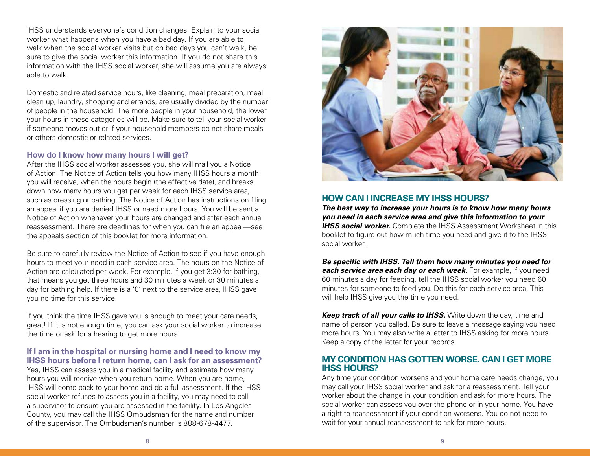IHSS understands everyone's condition changes. Explain to your social worker what happens when you have a bad day. If you are able to walk when the social worker visits but on bad days you can't walk, be sure to give the social worker this information. If you do not share this information with the IHSS social worker, she will assume you are always able to walk.

Domestic and related service hours, like cleaning, meal preparation, meal clean up, laundry, shopping and errands, are usually divided by the number of people in the household. The more people in your household, the lower your hours in these categories will be. Make sure to tell your social worker if someone moves out or if your household members do not share meals or others domestic or related services.

#### **How do I know how many hours I will get?**

After the IHSS social worker assesses you, she will mail you a Notice of Action. The Notice of Action tells you how many IHSS hours a month you will receive, when the hours begin (the effective date), and breaks down how many hours you get per week for each IHSS service area, such as dressing or bathing. The Notice of Action has instructions on filing an appeal if you are denied IHSS or need more hours. You will be sent a Notice of Action whenever your hours are changed and after each annual reassessment. There are deadlines for when you can file an appeal—see the appeals section of this booklet for more information.

Be sure to carefully review the Notice of Action to see if you have enough hours to meet your need in each service area. The hours on the Notice of Action are calculated per week. For example, if you get 3:30 for bathing, that means you get three hours and 30 minutes a week or 30 minutes a day for bathing help. If there is a '0' next to the service area, IHSS gave you no time for this service.

If you think the time IHSS gave you is enough to meet your care needs, great! If it is not enough time, you can ask your social worker to increase the time or ask for a hearing to get more hours.

## **If I am in the hospital or nursing home and I need to know my IHSS hours before I return home, can I ask for an assessment?**

Yes, IHSS can assess you in a medical facility and estimate how many hours you will receive when you return home. When you are home, IHSS will come back to your home and do a full assessment. If the IHSS social worker refuses to assess you in a facility, you may need to call a supervisor to ensure you are assessed in the facility. In Los Angeles County, you may call the IHSS Ombudsman for the name and number of the supervisor. The Ombudsman's number is 888-678-4477.



## **HOW CAN I INCREASE MY IHSS HOURS?**

*The best way to increase your hours is to know how many hours you need in each service area and give this information to your*  **IHSS social worker.** Complete the IHSS Assessment Worksheet in this booklet to figure out how much time you need and give it to the IHSS social worker.

*Be specific with IHSS. Tell them how many minutes you need for each service area each day or each week.* For example, if you need 60 minutes a day for feeding, tell the IHSS social worker you need 60 minutes for someone to feed you. Do this for each service area. This will help IHSS give you the time you need.

*Keep track of all your calls to IHSS.* Write down the day, time and name of person you called. Be sure to leave a message saying you need more hours. You may also write a letter to IHSS asking for more hours. Keep a copy of the letter for your records.

#### **MY CONDITION HAS GOTTEN WORSE. CAN I GET MORE IHSS HOURS?**

Any time your condition worsens and your home care needs change, you may call your IHSS social worker and ask for a reassessment. Tell your worker about the change in your condition and ask for more hours. The social worker can assess you over the phone or in your home. You have a right to reassessment if your condition worsens. You do not need to wait for your annual reassessment to ask for more hours.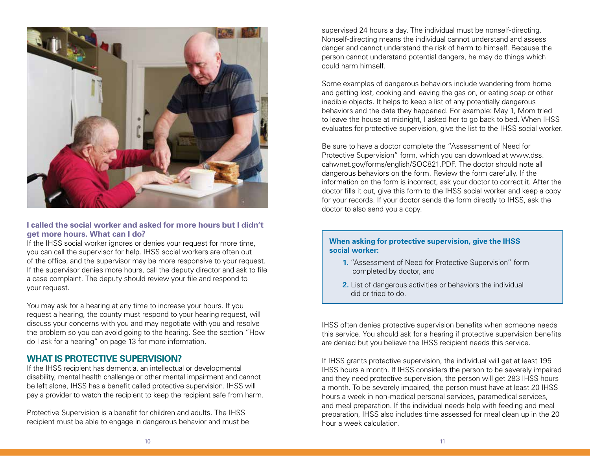![](_page_6_Picture_0.jpeg)

#### **I called the social worker and asked for more hours but I didn't get more hours. What can I do?**

If the IHSS social worker ignores or denies your request for more time, you can call the supervisor for help. IHSS social workers are often out of the office, and the supervisor may be more responsive to your request. If the supervisor denies more hours, call the deputy director and ask to file a case complaint. The deputy should review your file and respond to your request.

You may ask for a hearing at any time to increase your hours. If you request a hearing, the county must respond to your hearing request, will discuss your concerns with you and may negotiate with you and resolve the problem so you can avoid going to the hearing. See the section "How do I ask for a hearing" on page 13 for more information.

## **WHAT IS PROTECTIVE SUPERVISION?**

If the IHSS recipient has dementia, an intellectual or developmental disability, mental health challenge or other mental impairment and cannot be left alone, IHSS has a benefit called protective supervision. IHSS will pay a provider to watch the recipient to keep the recipient safe from harm.

Protective Supervision is a benefit for children and adults. The IHSS recipient must be able to engage in dangerous behavior and must be

supervised 24 hours a day. The individual must be nonself-directing. Nonself-directing means the individual cannot understand and assess danger and cannot understand the risk of harm to himself. Because the person cannot understand potential dangers, he may do things which could harm himself.

Some examples of dangerous behaviors include wandering from home and getting lost, cooking and leaving the gas on, or eating soap or other inedible objects. It helps to keep a list of any potentially dangerous behaviors and the date they happened. For example: May 1, Mom tried to leave the house at midnight, I asked her to go back to bed. When IHSS evaluates for protective supervision, give the list to the IHSS social worker.

Be sure to have a doctor complete the "Assessment of Need for Protective Supervision" form, which you can download at www.dss. cahwnet.gov/forms/english/SOC821.PDF. The doctor should note all dangerous behaviors on the form. Review the form carefully. If the information on the form is incorrect, ask your doctor to correct it. After the doctor fills it out, give this form to the IHSS social worker and keep a copy for your records. If your doctor sends the form directly to IHSS, ask the doctor to also send you a copy.

#### **When asking for protective supervision, give the IHSS social worker:**

- **1.** "Assessment of Need for Protective Supervision" form completed by doctor, and
- **2.** List of dangerous activities or behaviors the individual did or tried to do.

IHSS often denies protective supervision benefits when someone needs this service. You should ask for a hearing if protective supervision benefits are denied but you believe the IHSS recipient needs this service.

If IHSS grants protective supervision, the individual will get at least 195 IHSS hours a month. If IHSS considers the person to be severely impaired and they need protective supervision, the person will get 283 IHSS hours a month. To be severely impaired, the person must have at least 20 IHSS hours a week in non-medical personal services, paramedical services, and meal preparation. If the individual needs help with feeding and meal preparation, IHSS also includes time assessed for meal clean up in the 20 hour a week calculation.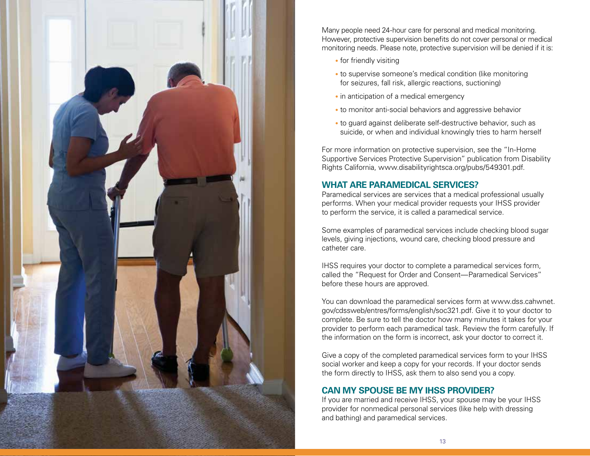![](_page_7_Picture_0.jpeg)

Many people need 24-hour care for personal and medical monitoring. However, protective supervision benefits do not cover personal or medical monitoring needs. Please note, protective supervision will be denied if it is:

- for friendly visiting
- to supervise someone's medical condition (like monitoring for seizures, fall risk, allergic reactions, suctioning)
- in anticipation of a medical emergency
- to monitor anti-social behaviors and aggressive behavior
- to guard against deliberate self-destructive behavior, such as suicide, or when and individual knowingly tries to harm herself

For more information on protective supervision, see the "In-Home Supportive Services Protective Supervision" publication from Disability Rights California, www.disabilityrightsca.org/pubs/549301.pdf.

## **WHAT ARE PARAMEDICAL SERVICES?**

Paramedical services are services that a medical professional usually performs. When your medical provider requests your IHSS provider to perform the service, it is called a paramedical service.

Some examples of paramedical services include checking blood sugar levels, giving injections, wound care, checking blood pressure and catheter care.

IHSS requires your doctor to complete a paramedical services form, called the "Request for Order and Consent—Paramedical Services" before these hours are approved.

You can download the paramedical services form at www.dss.cahwnet. gov/cdssweb/entres/forms/english/soc321.pdf. Give it to your doctor to complete. Be sure to tell the doctor how many minutes it takes for your provider to perform each paramedical task. Review the form carefully. If the information on the form is incorrect, ask your doctor to correct it.

Give a copy of the completed paramedical services form to your IHSS social worker and keep a copy for your records. If your doctor sends the form directly to IHSS, ask them to also send you a copy.

## **CAN MY SPOUSE BE MY IHSS PROVIDER?**

If you are married and receive IHSS, your spouse may be your IHSS provider for nonmedical personal services (like help with dressing and bathing) and paramedical services.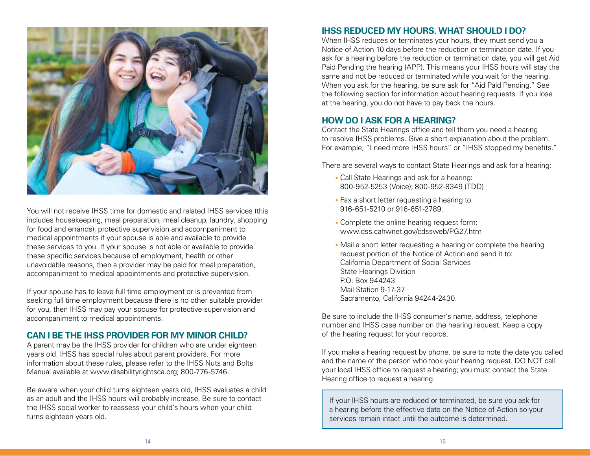![](_page_8_Picture_0.jpeg)

You will not receive IHSS time for domestic and related IHSS services (this includes housekeeping, meal preparation, meal cleanup, laundry, shopping for food and errands), protective supervision and accompaniment to medical appointments if your spouse is able and available to provide these services to you. If your spouse is not able or available to provide these specific services because of employment, health or other unavoidable reasons, then a provider may be paid for meal preparation, accompaniment to medical appointments and protective supervision.

If your spouse has to leave full time employment or is prevented from seeking full time employment because there is no other suitable provider for you, then IHSS may pay your spouse for protective supervision and accompaniment to medical appointments.

## **CAN I BE THE IHSS PROVIDER FOR MY MINOR CHILD?**

A parent may be the IHSS provider for children who are under eighteen years old. IHSS has special rules about parent providers. For more information about these rules, please refer to the IHSS Nuts and Bolts Manual available at www.disabilityrightsca.org; 800-776-5746.

Be aware when your child turns eighteen years old, IHSS evaluates a child as an adult and the IHSS hours will probably increase. Be sure to contact the IHSS social worker to reassess your child's hours when your child turns eighteen years old.

## **IHSS REDUCED MY HOURS. WHAT SHOULD I DO?**

When IHSS reduces or terminates your hours, they must send you a Notice of Action 10 days before the reduction or termination date. If you ask for a hearing before the reduction or termination date, you will get Aid Paid Pending the hearing (APP). This means your IHSS hours will stay the same and not be reduced or terminated while you wait for the hearing. When you ask for the hearing, be sure ask for "Aid Paid Pending." See the following section for information about hearing requests. If you lose at the hearing, you do not have to pay back the hours.

## **HOW DO I ASK FOR A HEARING?**

Contact the State Hearings office and tell them you need a hearing to resolve IHSS problems. Give a short explanation about the problem. For example, "I need more IHSS hours" or "IHSS stopped my benefits."

There are several ways to contact State Hearings and ask for a hearing:

- Call State Hearings and ask for a hearing: 800-952-5253 (Voice); 800-952-8349 (TDD)
- Fax a short letter requesting a hearing to: 916-651-5210 or 916-651-2789.
- Complete the online hearing request form: www.dss.cahwnet.gov/cdssweb/PG27.htm
- Mail a short letter requesting a hearing or complete the hearing request portion of the Notice of Action and send it to: California Department of Social Services State Hearings Division P.O. Box 944243 Mail Station 9-17-37 Sacramento, California 94244-2430.

Be sure to include the IHSS consumer's name, address, telephone number and IHSS case number on the hearing request. Keep a copy of the hearing request for your records.

If you make a hearing request by phone, be sure to note the date you called and the name of the person who took your hearing request. DO NOT call your local IHSS office to request a hearing; you must contact the State Hearing office to request a hearing.

If your IHSS hours are reduced or terminated, be sure you ask for a hearing before the effective date on the Notice of Action so your services remain intact until the outcome is determined.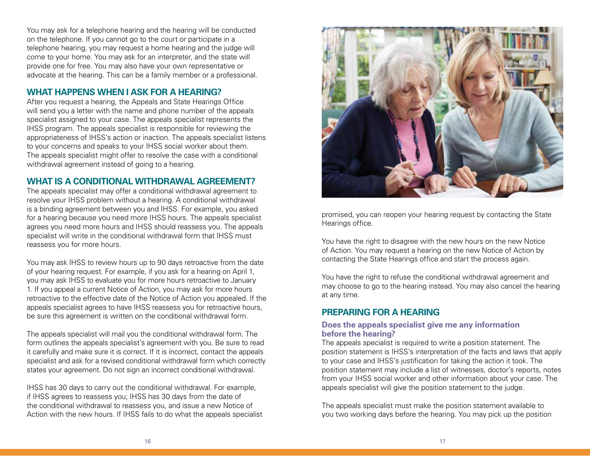You may ask for a telephone hearing and the hearing will be conducted on the telephone. If you cannot go to the court or participate in a telephone hearing, you may request a home hearing and the judge will come to your home. You may ask for an interpreter, and the state will provide one for free. You may also have your own representative or advocate at the hearing. This can be a family member or a professional.

## **WHAT HAPPENS WHEN I ASK FOR A HEARING?**

After you request a hearing, the Appeals and State Hearings Office will send you a letter with the name and phone number of the appeals specialist assigned to your case. The appeals specialist represents the IHSS program. The appeals specialist is responsible for reviewing the appropriateness of IHSS's action or inaction. The appeals specialist listens to your concerns and speaks to your IHSS social worker about them. The appeals specialist might offer to resolve the case with a conditional withdrawal agreement instead of going to a hearing.

## **WHAT IS A CONDITIONAL WITHDRAWAL AGREEMENT?**

The appeals specialist may offer a conditional withdrawal agreement to resolve your IHSS problem without a hearing. A conditional withdrawal is a binding agreement between you and IHSS. For example, you asked for a hearing because you need more IHSS hours. The appeals specialist agrees you need more hours and IHSS should reassess you. The appeals specialist will write in the conditional withdrawal form that IHSS must reassess you for more hours.

You may ask IHSS to review hours up to 90 days retroactive from the date of your hearing request. For example, if you ask for a hearing on April 1, you may ask IHSS to evaluate you for more hours retroactive to January 1. If you appeal a current Notice of Action, you may ask for more hours retroactive to the effective date of the Notice of Action you appealed. If the appeals specialist agrees to have IHSS reassess you for retroactive hours, be sure this agreement is written on the conditional withdrawal form.

The appeals specialist will mail you the conditional withdrawal form. The form outlines the appeals specialist's agreement with you. Be sure to read it carefully and make sure it is correct. If it is incorrect, contact the appeals specialist and ask for a revised conditional withdrawal form which correctly states your agreement. Do not sign an incorrect conditional withdrawal.

IHSS has 30 days to carry out the conditional withdrawal. For example, if IHSS agrees to reassess you; IHSS has 30 days from the date of the conditional withdrawal to reassess you, and issue a new Notice of Action with the new hours. If IHSS fails to do what the appeals specialist

![](_page_9_Picture_8.jpeg)

promised, you can reopen your hearing request by contacting the State Hearings office.

You have the right to disagree with the new hours on the new Notice of Action. You may request a hearing on the new Notice of Action by contacting the State Hearings office and start the process again.

You have the right to refuse the conditional withdrawal agreement and may choose to go to the hearing instead. You may also cancel the hearing at any time.

## **PREPARING FOR A HEARING**

#### **Does the appeals specialist give me any information before the hearing?**

The appeals specialist is required to write a position statement. The position statement is IHSS's interpretation of the facts and laws that apply to your case and IHSS's justification for taking the action it took. The position statement may include a list of witnesses, doctor's reports, notes from your IHSS social worker and other information about your case. The appeals specialist will give the position statement to the judge.

The appeals specialist must make the position statement available to you two working days before the hearing. You may pick up the position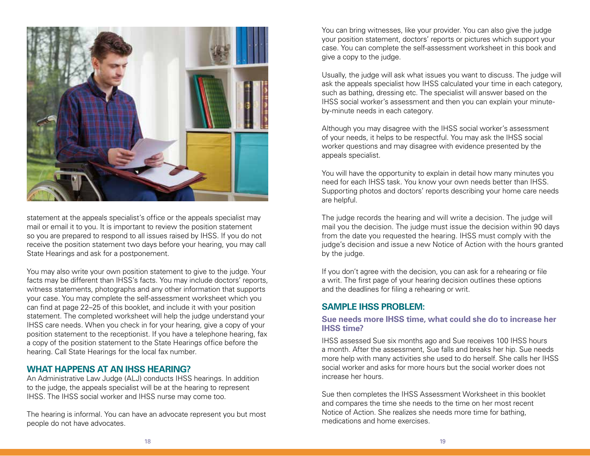![](_page_10_Picture_0.jpeg)

statement at the appeals specialist's office or the appeals specialist may mail or email it to you. It is important to review the position statement so you are prepared to respond to all issues raised by IHSS. If you do not receive the position statement two days before your hearing, you may call State Hearings and ask for a postponement.

You may also write your own position statement to give to the judge. Your facts may be different than IHSS's facts. You may include doctors' reports, witness statements, photographs and any other information that supports your case. You may complete the self-assessment worksheet which you can find at page 22–25 of this booklet, and include it with your position statement. The completed worksheet will help the judge understand your IHSS care needs. When you check in for your hearing, give a copy of your position statement to the receptionist. If you have a telephone hearing, fax a copy of the position statement to the State Hearings office before the hearing. Call State Hearings for the local fax number.

## **WHAT HAPPENS AT AN IHSS HEARING?**

An Administrative Law Judge (ALJ) conducts IHSS hearings. In addition to the judge, the appeals specialist will be at the hearing to represent IHSS. The IHSS social worker and IHSS nurse may come too.

The hearing is informal. You can have an advocate represent you but most people do not have advocates.

You can bring witnesses, like your provider. You can also give the judge your position statement, doctors' reports or pictures which support your case. You can complete the self-assessment worksheet in this book and give a copy to the judge.

Usually, the judge will ask what issues you want to discuss. The judge will ask the appeals specialist how IHSS calculated your time in each category, such as bathing, dressing etc. The specialist will answer based on the IHSS social worker's assessment and then you can explain your minuteby-minute needs in each category.

Although you may disagree with the IHSS social worker's assessment of your needs, it helps to be respectful. You may ask the IHSS social worker questions and may disagree with evidence presented by the appeals specialist.

You will have the opportunity to explain in detail how many minutes you need for each IHSS task. You know your own needs better than IHSS. Supporting photos and doctors' reports describing your home care needs are helpful.

The judge records the hearing and will write a decision. The judge will mail you the decision. The judge must issue the decision within 90 days from the date you requested the hearing. IHSS must comply with the judge's decision and issue a new Notice of Action with the hours granted by the judge.

If you don't agree with the decision, you can ask for a rehearing or file a writ. The first page of your hearing decision outlines these options and the deadlines for filing a rehearing or writ.

## **SAMPLE IHSS PROBLEM:**

#### **Sue needs more IHSS time, what could she do to increase her IHSS time?**

IHSS assessed Sue six months ago and Sue receives 100 IHSS hours a month. After the assessment, Sue falls and breaks her hip. Sue needs more help with many activities she used to do herself. She calls her IHSS social worker and asks for more hours but the social worker does not increase her hours.

Sue then completes the IHSS Assessment Worksheet in this booklet and compares the time she needs to the time on her most recent Notice of Action. She realizes she needs more time for bathing, medications and home exercises.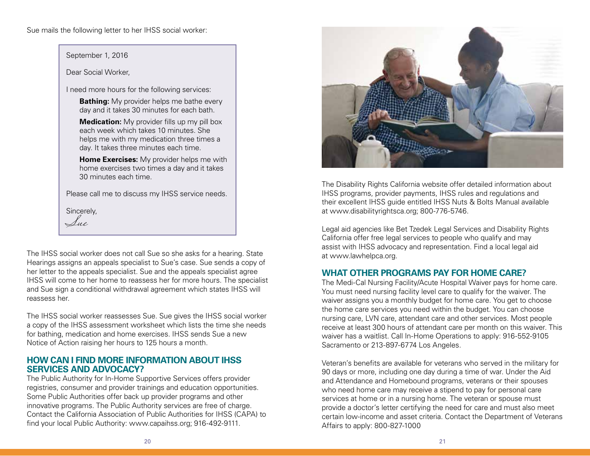Sue mails the following letter to her IHSS social worker:

September 1, 2016 Dear Social Worker, I need more hours for the following services: **Bathing:** My provider helps me bathe every day and it takes 30 minutes for each bath. **Medication:** My provider fills up my pill box each week which takes 10 minutes. She helps me with my medication three times a day. It takes three minutes each time. **Home Exercises:** My provider helps me with home exercises two times a day and it takes 30 minutes each time. Please call me to discuss my IHSS service needs. Sincerely, Sue

The IHSS social worker does not call Sue so she asks for a hearing. State Hearings assigns an appeals specialist to Sue's case. Sue sends a copy of her letter to the appeals specialist. Sue and the appeals specialist agree IHSS will come to her home to reassess her for more hours. The specialist and Sue sign a conditional withdrawal agreement which states IHSS will reassess her.

The IHSS social worker reassesses Sue. Sue gives the IHSS social worker a copy of the IHSS assessment worksheet which lists the time she needs for bathing, medication and home exercises. IHSS sends Sue a new Notice of Action raising her hours to 125 hours a month.

## **HOW CAN I FIND MORE INFORMATION ABOUT IHSS SERVICES AND ADVOCACY?**

The Public Authority for In-Home Supportive Services offers provider registries, consumer and provider trainings and education opportunities. Some Public Authorities offer back up provider programs and other innovative programs. The Public Authority services are free of charge. Contact the California Association of Public Authorities for IHSS (CAPA) to find your local Public Authority: www.capaihss.org; 916-492-9111.

![](_page_11_Picture_6.jpeg)

The Disability Rights California website offer detailed information about IHSS programs, provider payments, IHSS rules and regulations and their excellent IHSS guide entitled IHSS Nuts & Bolts Manual available at www.disabilityrightsca.org; 800-776-5746.

Legal aid agencies like Bet Tzedek Legal Services and Disability Rights California offer free legal services to people who qualify and may assist with IHSS advocacy and representation. Find a local legal aid at www.lawhelpca.org.

## **WHAT OTHER PROGRAMS PAY FOR HOME CARE?**

The Medi-Cal Nursing Facility/Acute Hospital Waiver pays for home care. You must need nursing facility level care to qualify for the waiver. The waiver assigns you a monthly budget for home care. You get to choose the home care services you need within the budget. You can choose nursing care, LVN care, attendant care and other services. Most people receive at least 300 hours of attendant care per month on this waiver. This waiver has a waitlist. Call In-Home Operations to apply: 916-552-9105 Sacramento or 213-897-6774 Los Angeles.

Veteran's benefits are available for veterans who served in the military for 90 days or more, including one day during a time of war. Under the Aid and Attendance and Homebound programs, veterans or their spouses who need home care may receive a stipend to pay for personal care services at home or in a nursing home. The veteran or spouse must provide a doctor's letter certifying the need for care and must also meet certain low-income and asset criteria. Contact the Department of Veterans Affairs to apply: 800-827-1000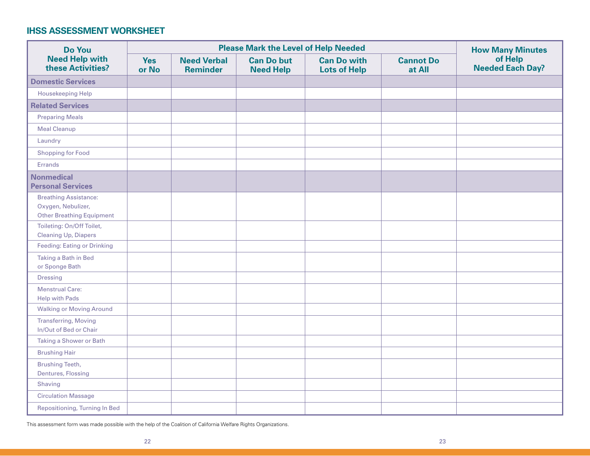## **IHSS ASSESSMENT WORKSHEET**

| <b>Do You</b><br><b>Need Help with</b><br>these Activities?                            |                     | <b>Please Mark the Level of Help Needed</b> | <b>How Many Minutes</b>               |                                           |                            |                                    |
|----------------------------------------------------------------------------------------|---------------------|---------------------------------------------|---------------------------------------|-------------------------------------------|----------------------------|------------------------------------|
|                                                                                        | <b>Yes</b><br>or No | <b>Need Verbal</b><br><b>Reminder</b>       | <b>Can Do but</b><br><b>Need Help</b> | <b>Can Do with</b><br><b>Lots of Help</b> | <b>Cannot Do</b><br>at All | of Help<br><b>Needed Each Day?</b> |
| <b>Domestic Services</b>                                                               |                     |                                             |                                       |                                           |                            |                                    |
| <b>Housekeeping Help</b>                                                               |                     |                                             |                                       |                                           |                            |                                    |
| <b>Related Services</b>                                                                |                     |                                             |                                       |                                           |                            |                                    |
| <b>Preparing Meals</b>                                                                 |                     |                                             |                                       |                                           |                            |                                    |
| <b>Meal Cleanup</b>                                                                    |                     |                                             |                                       |                                           |                            |                                    |
| Laundry                                                                                |                     |                                             |                                       |                                           |                            |                                    |
| <b>Shopping for Food</b>                                                               |                     |                                             |                                       |                                           |                            |                                    |
| <b>Errands</b>                                                                         |                     |                                             |                                       |                                           |                            |                                    |
| <b>Nonmedical</b><br><b>Personal Services</b>                                          |                     |                                             |                                       |                                           |                            |                                    |
| <b>Breathing Assistance:</b><br>Oxygen, Nebulizer,<br><b>Other Breathing Equipment</b> |                     |                                             |                                       |                                           |                            |                                    |
| Toileting: On/Off Toilet,<br>Cleaning Up, Diapers                                      |                     |                                             |                                       |                                           |                            |                                    |
| <b>Feeding: Eating or Drinking</b>                                                     |                     |                                             |                                       |                                           |                            |                                    |
| Taking a Bath in Bed<br>or Sponge Bath                                                 |                     |                                             |                                       |                                           |                            |                                    |
| <b>Dressing</b>                                                                        |                     |                                             |                                       |                                           |                            |                                    |
| <b>Menstrual Care:</b><br><b>Help with Pads</b>                                        |                     |                                             |                                       |                                           |                            |                                    |
| <b>Walking or Moving Around</b>                                                        |                     |                                             |                                       |                                           |                            |                                    |
| <b>Transferring, Moving</b><br>In/Out of Bed or Chair                                  |                     |                                             |                                       |                                           |                            |                                    |
| Taking a Shower or Bath                                                                |                     |                                             |                                       |                                           |                            |                                    |
| <b>Brushing Hair</b>                                                                   |                     |                                             |                                       |                                           |                            |                                    |
| <b>Brushing Teeth,</b><br>Dentures, Flossing                                           |                     |                                             |                                       |                                           |                            |                                    |
| Shaving                                                                                |                     |                                             |                                       |                                           |                            |                                    |
| <b>Circulation Massage</b>                                                             |                     |                                             |                                       |                                           |                            |                                    |
| Repositioning, Turning In Bed                                                          |                     |                                             |                                       |                                           |                            |                                    |

This assessment form was made possible with the help of the Coalition of California Welfare Rights Organizations.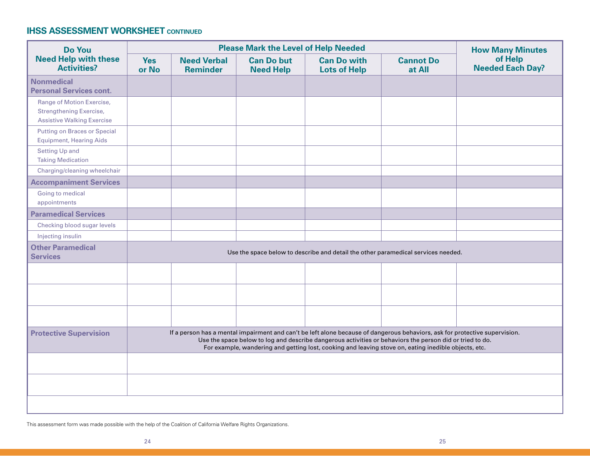## **IHSS ASSESSMENT WORKSHEET CONTINUED**

| <b>Do You</b><br><b>Need Help with these</b><br><b>Activities?</b>                               |                                                                                                                                                                                                                                                                                                                                                 | <b>Please Mark the Level of Help Needed</b> | <b>How Many Minutes</b>               |                                           |                            |                                    |  |  |
|--------------------------------------------------------------------------------------------------|-------------------------------------------------------------------------------------------------------------------------------------------------------------------------------------------------------------------------------------------------------------------------------------------------------------------------------------------------|---------------------------------------------|---------------------------------------|-------------------------------------------|----------------------------|------------------------------------|--|--|
|                                                                                                  | <b>Yes</b><br>or No                                                                                                                                                                                                                                                                                                                             | <b>Need Verbal</b><br><b>Reminder</b>       | <b>Can Do but</b><br><b>Need Help</b> | <b>Can Do with</b><br><b>Lots of Help</b> | <b>Cannot Do</b><br>at All | of Help<br><b>Needed Each Day?</b> |  |  |
| <b>Nonmedical</b><br><b>Personal Services cont.</b>                                              |                                                                                                                                                                                                                                                                                                                                                 |                                             |                                       |                                           |                            |                                    |  |  |
| Range of Motion Exercise,<br><b>Strengthening Exercise,</b><br><b>Assistive Walking Exercise</b> |                                                                                                                                                                                                                                                                                                                                                 |                                             |                                       |                                           |                            |                                    |  |  |
| <b>Putting on Braces or Special</b><br><b>Equipment, Hearing Aids</b>                            |                                                                                                                                                                                                                                                                                                                                                 |                                             |                                       |                                           |                            |                                    |  |  |
| Setting Up and<br><b>Taking Medication</b>                                                       |                                                                                                                                                                                                                                                                                                                                                 |                                             |                                       |                                           |                            |                                    |  |  |
| Charging/cleaning wheelchair                                                                     |                                                                                                                                                                                                                                                                                                                                                 |                                             |                                       |                                           |                            |                                    |  |  |
| <b>Accompaniment Services</b>                                                                    |                                                                                                                                                                                                                                                                                                                                                 |                                             |                                       |                                           |                            |                                    |  |  |
| Going to medical<br>appointments                                                                 |                                                                                                                                                                                                                                                                                                                                                 |                                             |                                       |                                           |                            |                                    |  |  |
| <b>Paramedical Services</b>                                                                      |                                                                                                                                                                                                                                                                                                                                                 |                                             |                                       |                                           |                            |                                    |  |  |
| Checking blood sugar levels                                                                      |                                                                                                                                                                                                                                                                                                                                                 |                                             |                                       |                                           |                            |                                    |  |  |
| Injecting insulin                                                                                |                                                                                                                                                                                                                                                                                                                                                 |                                             |                                       |                                           |                            |                                    |  |  |
| <b>Other Paramedical</b><br><b>Services</b>                                                      | Use the space below to describe and detail the other paramedical services needed.                                                                                                                                                                                                                                                               |                                             |                                       |                                           |                            |                                    |  |  |
|                                                                                                  |                                                                                                                                                                                                                                                                                                                                                 |                                             |                                       |                                           |                            |                                    |  |  |
|                                                                                                  |                                                                                                                                                                                                                                                                                                                                                 |                                             |                                       |                                           |                            |                                    |  |  |
|                                                                                                  |                                                                                                                                                                                                                                                                                                                                                 |                                             |                                       |                                           |                            |                                    |  |  |
| <b>Protective Supervision</b>                                                                    | If a person has a mental impairment and can't be left alone because of dangerous behaviors, ask for protective supervision.<br>Use the space below to log and describe dangerous activities or behaviors the person did or tried to do.<br>For example, wandering and getting lost, cooking and leaving stove on, eating inedible objects, etc. |                                             |                                       |                                           |                            |                                    |  |  |
|                                                                                                  |                                                                                                                                                                                                                                                                                                                                                 |                                             |                                       |                                           |                            |                                    |  |  |
|                                                                                                  |                                                                                                                                                                                                                                                                                                                                                 |                                             |                                       |                                           |                            |                                    |  |  |
|                                                                                                  |                                                                                                                                                                                                                                                                                                                                                 |                                             |                                       |                                           |                            |                                    |  |  |

This assessment form was made possible with the help of the Coalition of California Welfare Rights Organizations.